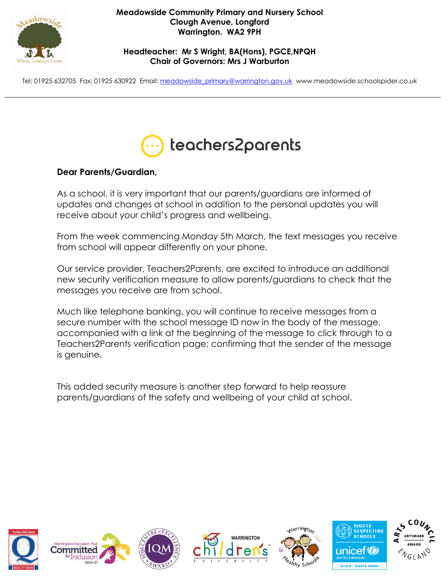

### **Meadowside Community Primary and Nursery School Clough Avenue, Longford Warrington. WA2 9PH**

**Headteacher: Mr S Wright, BA(Hons), PGCE,NPQH Chair of Governors: Mrs J Warburton**

Tel: 01925 632705 Fax: 01925 630922 Email: [meadowside\\_primary@warrington.gov.uk](mailto:meadowside_primary@warrington.gov.uk) www.meadowside.schoolspider.co.uk



# **Dear Parents/Guardian,**

As a school, it is very important that our parents/guardians are informed of updates and changes at school in addition to the personal updates you will receive about your child's progress and wellbeing.

From the week commencing Monday 5th March, the text messages you receive from school will appear differently on your phone.

Our service provider, Teachers2Parents, are excited to introduce an additional new security verification measure to allow parents/guardians to check that the messages you receive are from school.

Much like telephone banking, you will continue to receive messages from a secure number with the school message ID now in the body of the message, accompanied with a link at the beginning of the message to click through to a Teachers2Parents verification page; confirming that the sender of the message is genuine.

This added security measure is another step forward to help reassure parents/guardians of the safety and wellbeing of your child at school.













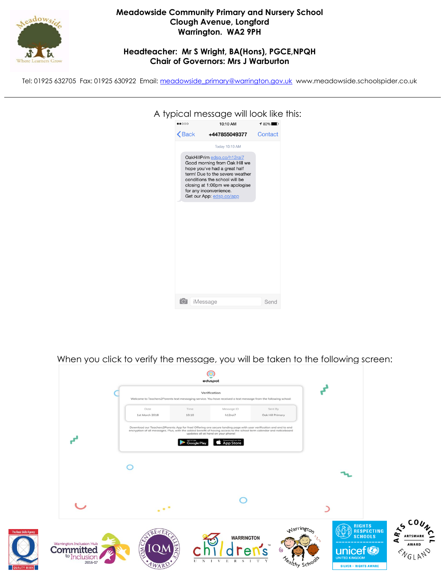

### **Meadowside Community Primary and Nursery School Clough Avenue, Longford Warrington. WA2 9PH**

### **Headteacher: Mr S Wright, BA(Hons), PGCE,NPQH Chair of Governors: Mrs J Warburton**

Tel: 01925 632705 Fax: 01925 630922 Email: [meadowside\\_primary@warrington.gov.uk](mailto:meadowside_primary@warrington.gov.uk) www.meadowside.schoolspider.co.uk

|                                 | A typical message will look like this:                                                                                                                                                                                                                   |         |  |
|---------------------------------|----------------------------------------------------------------------------------------------------------------------------------------------------------------------------------------------------------------------------------------------------------|---------|--|
| $\bullet\bullet\circ\circ\circ$ | 10:10 AM                                                                                                                                                                                                                                                 | $180\%$ |  |
| $\mathsf{\langle}$ Back         | +447855049377                                                                                                                                                                                                                                            | Contact |  |
|                                 | Today 10:10 AM                                                                                                                                                                                                                                           |         |  |
|                                 | OakHillPrim edsp.co/h12rai7<br>Good morning from Oak Hill we<br>hope you've had a great half<br>term! Due to the severe weather<br>conditions the school will be<br>closing at 1:00pm we apologise<br>for any inconvenience.<br>Get our App: edsp.co/app |         |  |
|                                 | iMessage                                                                                                                                                                                                                                                 | Send    |  |
|                                 |                                                                                                                                                                                                                                                          |         |  |

When you click to verify the message, you will be taken to the following screen: